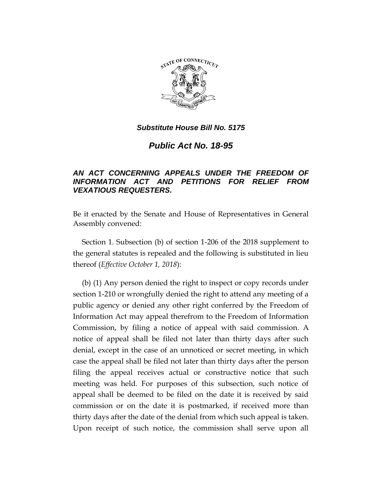

*Public Act No. 18-95*

# *AN ACT CONCERNING APPEALS UNDER THE FREEDOM OF INFORMATION ACT AND PETITIONS FOR RELIEF FROM VEXATIOUS REQUESTERS.*

Be it enacted by the Senate and House of Representatives in General Assembly convened:

Section 1. Subsection (b) of section 1-206 of the 2018 supplement to the general statutes is repealed and the following is substituted in lieu thereof (*Effective October 1, 2018*):

(b) (1) Any person denied the right to inspect or copy records under section 1-210 or wrongfully denied the right to attend any meeting of a public agency or denied any other right conferred by the Freedom of Information Act may appeal therefrom to the Freedom of Information Commission, by filing a notice of appeal with said commission. A notice of appeal shall be filed not later than thirty days after such denial, except in the case of an unnoticed or secret meeting, in which case the appeal shall be filed not later than thirty days after the person filing the appeal receives actual or constructive notice that such meeting was held. For purposes of this subsection, such notice of appeal shall be deemed to be filed on the date it is received by said commission or on the date it is postmarked, if received more than thirty days after the date of the denial from which such appeal is taken. Upon receipt of such notice, the commission shall serve upon all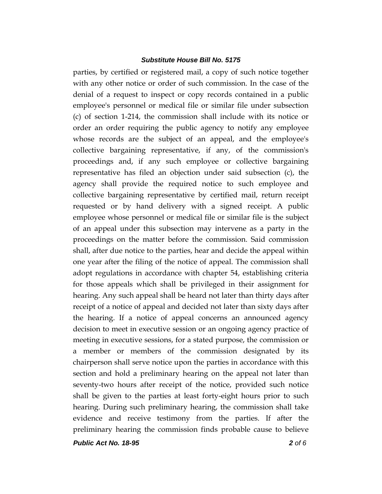parties, by certified or registered mail, a copy of such notice together with any other notice or order of such commission. In the case of the denial of a request to inspect or copy records contained in a public employee's personnel or medical file or similar file under subsection (c) of section 1-214, the commission shall include with its notice or order an order requiring the public agency to notify any employee whose records are the subject of an appeal, and the employee's collective bargaining representative, if any, of the commission's proceedings and, if any such employee or collective bargaining representative has filed an objection under said subsection (c), the agency shall provide the required notice to such employee and collective bargaining representative by certified mail, return receipt requested or by hand delivery with a signed receipt. A public employee whose personnel or medical file or similar file is the subject of an appeal under this subsection may intervene as a party in the proceedings on the matter before the commission. Said commission shall, after due notice to the parties, hear and decide the appeal within one year after the filing of the notice of appeal. The commission shall adopt regulations in accordance with chapter 54, establishing criteria for those appeals which shall be privileged in their assignment for hearing. Any such appeal shall be heard not later than thirty days after receipt of a notice of appeal and decided not later than sixty days after the hearing. If a notice of appeal concerns an announced agency decision to meet in executive session or an ongoing agency practice of meeting in executive sessions, for a stated purpose, the commission or a member or members of the commission designated by its chairperson shall serve notice upon the parties in accordance with this section and hold a preliminary hearing on the appeal not later than seventy-two hours after receipt of the notice, provided such notice shall be given to the parties at least forty-eight hours prior to such hearing. During such preliminary hearing, the commission shall take evidence and receive testimony from the parties. If after the preliminary hearing the commission finds probable cause to believe

*Public Act No. 18-95 2 of 6*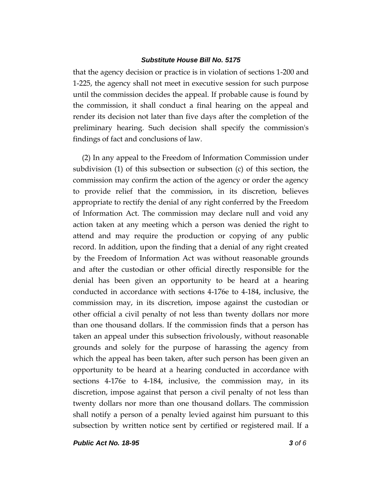that the agency decision or practice is in violation of sections 1-200 and 1-225, the agency shall not meet in executive session for such purpose until the commission decides the appeal. If probable cause is found by the commission, it shall conduct a final hearing on the appeal and render its decision not later than five days after the completion of the preliminary hearing. Such decision shall specify the commission's findings of fact and conclusions of law.

(2) In any appeal to the Freedom of Information Commission under subdivision (1) of this subsection or subsection (c) of this section, the commission may confirm the action of the agency or order the agency to provide relief that the commission, in its discretion, believes appropriate to rectify the denial of any right conferred by the Freedom of Information Act. The commission may declare null and void any action taken at any meeting which a person was denied the right to attend and may require the production or copying of any public record. In addition, upon the finding that a denial of any right created by the Freedom of Information Act was without reasonable grounds and after the custodian or other official directly responsible for the denial has been given an opportunity to be heard at a hearing conducted in accordance with sections 4-176e to 4-184, inclusive, the commission may, in its discretion, impose against the custodian or other official a civil penalty of not less than twenty dollars nor more than one thousand dollars. If the commission finds that a person has taken an appeal under this subsection frivolously, without reasonable grounds and solely for the purpose of harassing the agency from which the appeal has been taken, after such person has been given an opportunity to be heard at a hearing conducted in accordance with sections 4-176e to 4-184, inclusive, the commission may, in its discretion, impose against that person a civil penalty of not less than twenty dollars nor more than one thousand dollars. The commission shall notify a person of a penalty levied against him pursuant to this subsection by written notice sent by certified or registered mail. If a

*Public Act No. 18-95 3 of 6*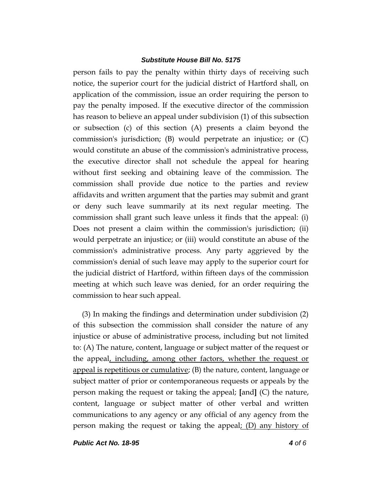person fails to pay the penalty within thirty days of receiving such notice, the superior court for the judicial district of Hartford shall, on application of the commission, issue an order requiring the person to pay the penalty imposed. If the executive director of the commission has reason to believe an appeal under subdivision (1) of this subsection or subsection (c) of this section (A) presents a claim beyond the commission's jurisdiction; (B) would perpetrate an injustice; or (C) would constitute an abuse of the commission's administrative process, the executive director shall not schedule the appeal for hearing without first seeking and obtaining leave of the commission. The commission shall provide due notice to the parties and review affidavits and written argument that the parties may submit and grant or deny such leave summarily at its next regular meeting. The commission shall grant such leave unless it finds that the appeal: (i) Does not present a claim within the commission's jurisdiction; (ii) would perpetrate an injustice; or (iii) would constitute an abuse of the commission's administrative process. Any party aggrieved by the commission's denial of such leave may apply to the superior court for the judicial district of Hartford, within fifteen days of the commission meeting at which such leave was denied, for an order requiring the commission to hear such appeal.

(3) In making the findings and determination under subdivision (2) of this subsection the commission shall consider the nature of any injustice or abuse of administrative process, including but not limited to: (A) The nature, content, language or subject matter of the request or the appeal, including, among other factors, whether the request or appeal is repetitious or cumulative; (B) the nature, content, language or subject matter of prior or contemporaneous requests or appeals by the person making the request or taking the appeal; **[**and**]** (C) the nature, content, language or subject matter of other verbal and written communications to any agency or any official of any agency from the person making the request or taking the appeal; (D) any history of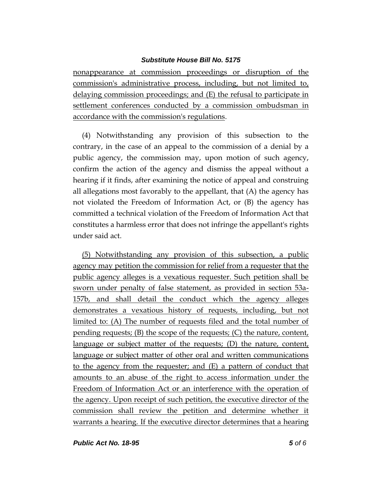nonappearance at commission proceedings or disruption of the commission's administrative process, including, but not limited to, delaying commission proceedings; and (E) the refusal to participate in settlement conferences conducted by a commission ombudsman in accordance with the commission's regulations.

(4) Notwithstanding any provision of this subsection to the contrary, in the case of an appeal to the commission of a denial by a public agency, the commission may, upon motion of such agency, confirm the action of the agency and dismiss the appeal without a hearing if it finds, after examining the notice of appeal and construing all allegations most favorably to the appellant, that (A) the agency has not violated the Freedom of Information Act, or (B) the agency has committed a technical violation of the Freedom of Information Act that constitutes a harmless error that does not infringe the appellant's rights under said act.

(5) Notwithstanding any provision of this subsection, a public agency may petition the commission for relief from a requester that the public agency alleges is a vexatious requester. Such petition shall be sworn under penalty of false statement, as provided in section 53a-157b, and shall detail the conduct which the agency alleges demonstrates a vexatious history of requests, including, but not limited to: (A) The number of requests filed and the total number of pending requests; (B) the scope of the requests; (C) the nature, content, language or subject matter of the requests; (D) the nature, content, language or subject matter of other oral and written communications to the agency from the requester; and (E) a pattern of conduct that amounts to an abuse of the right to access information under the Freedom of Information Act or an interference with the operation of the agency. Upon receipt of such petition, the executive director of the commission shall review the petition and determine whether it warrants a hearing. If the executive director determines that a hearing